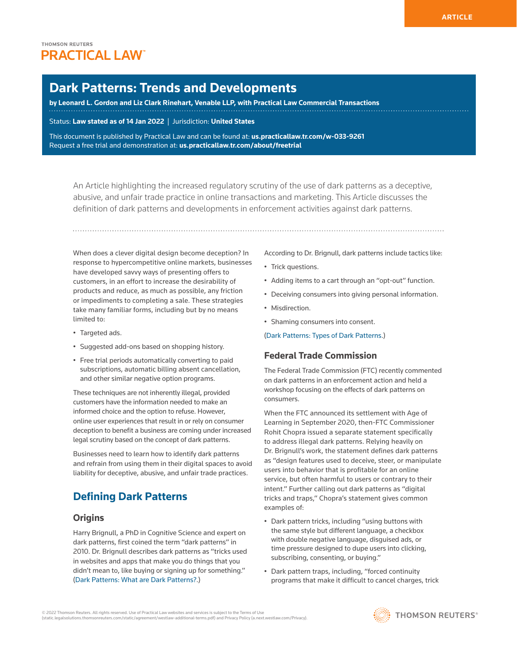# **Dark Patterns: Trends and Developments**

**by Leonard L. Gordon and Liz Clark Rinehart, Venable LLP, with Practical Law Commercial Transactions**

Status: **Law stated as of 14 Jan 2022** | Jurisdiction: **United States**

This document is published by Practical Law and can be found at[:](http://us.practicallaw.tr.com/W-028-4180) **[us.practicallaw.tr.com/w-033-9261](http://us.practicallaw.tr.com/w-033-9261)** Request a free trial and demonstration at: **[us.practicallaw.tr.com/about/freetrial](http://us.practicallaw.tr.com/about/freetrial)**

An Article highlighting the increased regulatory scrutiny of the use of dark patterns as a deceptive, abusive, and unfair trade practice in online transactions and marketing. This Article discusses the definition of dark patterns and developments in enforcement activities against dark patterns.

When does a clever digital design become deception? In response to hypercompetitive online markets, businesses have developed savvy ways of presenting offers to customers, in an effort to increase the desirability of products and reduce, as much as possible, any friction or impediments to completing a sale. These strategies take many familiar forms, including but by no means limited to:

- Targeted ads.
- Suggested add-ons based on shopping history.
- Free trial periods automatically converting to paid subscriptions, automatic billing absent cancellation, and other similar negative option programs.

These techniques are not inherently illegal, provided customers have the information needed to make an informed choice and the option to refuse. However, online user experiences that result in or rely on consumer deception to benefit a business are coming under increased legal scrutiny based on the concept of dark patterns.

Businesses need to learn how to identify dark patterns and refrain from using them in their digital spaces to avoid liability for deceptive, abusive, and unfair trade practices.

# **Defining Dark Patterns**

### **Origins**

Harry Brignull, a PhD in Cognitive Science and expert on dark patterns, first coined the term "dark patterns" in 2010. Dr. Brignull describes dark patterns as "tricks used in websites and apps that make you do things that you didn't mean to, like buying or signing up for something." ([Dark Patterns: What are Dark Patterns?](https://www.darkpatterns.org/).)

According to Dr. Brignull, dark patterns include tactics like:

- Trick questions.
- Adding items to a cart through an "opt-out" function.
- Deceiving consumers into giving personal information.
- Misdirection.
- Shaming consumers into consent.

[\(Dark Patterns: Types of Dark Patterns](https://www.darkpatterns.org/types-of-dark-pattern).)

#### **Federal Trade Commission**

The [Federal Trade Commission](http://www.westlaw.com/Document/I1559f7aceef211e28578f7ccc38dcbee/View/FullText.html?originationContext=document&vr=3.0&rs=cblt1.0&transitionType=DocumentItem&contextData=(sc.Search)) (FTC) recently commented on dark patterns in an enforcement action and held a workshop focusing on the effects of dark patterns on consumers.

When the FTC announced its settlement with Age of Learning in September 2020, then-FTC Commissioner Rohit Chopra issued a separate statement specifically to address illegal dark patterns. Relying heavily on Dr. Brignull's work, the statement defines dark patterns as "design features used to deceive, steer, or manipulate users into behavior that is profitable for an online service, but often harmful to users or contrary to their intent." Further calling out dark patterns as "digital tricks and traps," Chopra's statement gives common examples of:

- Dark pattern tricks, including "using buttons with the same style but different language, a checkbox with double negative language, disguised ads, or time pressure designed to dupe users into clicking, subscribing, consenting, or buying."
- Dark pattern traps, including, "forced continuity programs that make it difficult to cancel charges, trick

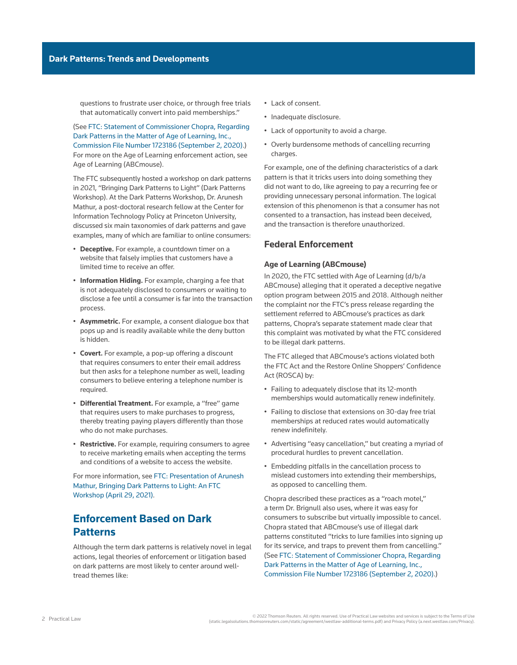questions to frustrate user choice, or through free trials that automatically convert into paid memberships."

(See [FTC: Statement of Commissioner Chopra, Regarding](https://www.ftc.gov/system/files/documents/public_statements/1579927/172_3086_abcmouse_-_rchopra_statement.pdf)  [Dark Patterns in the Matter of Age of Learning, Inc.,](https://www.ftc.gov/system/files/documents/public_statements/1579927/172_3086_abcmouse_-_rchopra_statement.pdf)  [Commission File Number 1723186 \(September 2, 2020\)](https://www.ftc.gov/system/files/documents/public_statements/1579927/172_3086_abcmouse_-_rchopra_statement.pdf).) For more on the Age of Learning enforcement action, see [Age of Learning \(ABCmouse\)](file:///Production/Composition/Thomson/Incoming/2022/012122/#co_anchor_a971047_1).

The FTC subsequently hosted a workshop on dark patterns in 2021, "Bringing Dark Patterns to Light" (Dark Patterns Workshop). At the Dark Patterns Workshop, Dr. Arunesh Mathur, a post-doctoral research fellow at the Center for Information Technology Policy at Princeton University, discussed six main taxonomies of dark patterns and gave examples, many of which are familiar to online consumers:

- **Deceptive.** For example, a countdown timer on a website that falsely implies that customers have a limited time to receive an offer.
- **Information Hiding.** For example, charging a fee that is not adequately disclosed to consumers or waiting to disclose a fee until a consumer is far into the transaction process.
- **Asymmetric.** For example, a consent dialogue box that pops up and is readily available while the deny button is hidden.
- **Covert.** For example, a pop-up offering a discount that requires consumers to enter their email address but then asks for a telephone number as well, leading consumers to believe entering a telephone number is required.
- **Differential Treatment.** For example, a "free" game that requires users to make purchases to progress, thereby treating paying players differently than those who do not make purchases.
- **Restrictive.** For example, requiring consumers to agree to receive marketing emails when accepting the terms and conditions of a website to access the website.

For more information, see [FTC: Presentation of Arunesh](https://www.ftc.gov/system/files/documents/public_events/1586943/ftc_darkpatterns_workshop_transcript.pdf)  [Mathur, Bringing Dark Patterns to Light: An FTC](https://www.ftc.gov/system/files/documents/public_events/1586943/ftc_darkpatterns_workshop_transcript.pdf)  [Workshop \(April 29, 2021\)](https://www.ftc.gov/system/files/documents/public_events/1586943/ftc_darkpatterns_workshop_transcript.pdf).

## **Enforcement Based on Dark Patterns**

Although the term dark patterns is relatively novel in legal actions, legal theories of enforcement or litigation based on dark patterns are most likely to center around welltread themes like:

- Lack of consent.
- Inadequate disclosure.
- Lack of opportunity to avoid a charge.
- Overly burdensome methods of cancelling recurring charges.

For example, one of the defining characteristics of a dark pattern is that it tricks users into doing something they did not want to do, like agreeing to pay a recurring fee or providing unnecessary personal information. The logical extension of this phenomenon is that a consumer has not consented to a transaction, has instead been deceived, and the transaction is therefore unauthorized.

### **Federal Enforcement**

#### **Age of Learning (ABCmouse)**

In 2020, the FTC settled with Age of Learning (d/b/a ABCmouse) alleging that it operated a deceptive negative option program between 2015 and 2018. Although neither the complaint nor the FTC's press release regarding the settlement referred to ABCmouse's practices as dark patterns, Chopra's separate statement made clear that this complaint was motivated by what the FTC considered to be illegal dark patterns.

The FTC alleged that ABCmouse's actions violated both the FTC Act and the Restore Online Shoppers' Confidence Act (ROSCA) by:

- Failing to adequately disclose that its 12-month memberships would automatically renew indefinitely.
- Failing to disclose that extensions on 30-day free trial memberships at reduced rates would automatically renew indefinitely.
- Advertising "easy cancellation," but creating a myriad of procedural hurdles to prevent cancellation.
- Embedding pitfalls in the cancellation process to mislead customers into extending their memberships, as opposed to cancelling them.

Chopra described these practices as a "roach motel," a term Dr. Brignull also uses, where it was easy for consumers to subscribe but virtually impossible to cancel. Chopra stated that ABCmouse's use of illegal dark patterns constituted "tricks to lure families into signing up for its service, and traps to prevent them from cancelling." (See [FTC: Statement of Commissioner Chopra, Regarding](https://www.ftc.gov/system/files/documents/public_statements/1579927/172_3086_abcmouse_-_rchopra_statement.pdf)  [Dark Patterns in the Matter of Age of Learning, Inc.,](https://www.ftc.gov/system/files/documents/public_statements/1579927/172_3086_abcmouse_-_rchopra_statement.pdf)  [Commission File Number 1723186 \(September 2, 2020\).](https://www.ftc.gov/system/files/documents/public_statements/1579927/172_3086_abcmouse_-_rchopra_statement.pdf))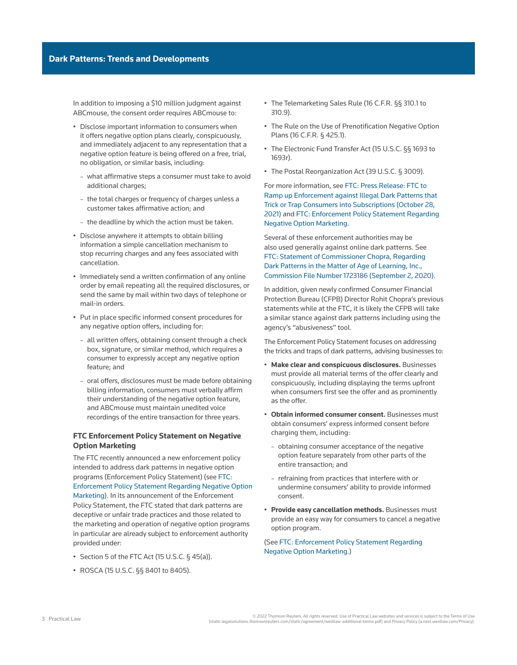In addition to imposing a \$10 million judgment against ABCmouse, the consent order requires ABCmouse to:

- Disclose important information to consumers when it offers negative option plans clearly, conspicuously, and immediately adjacent to any representation that a negative option feature is being offered on a free, trial, no obligation, or similar basis, including:
	- what affirmative steps a consumer must take to avoid additional charges;
	- the total charges or frequency of charges unless a customer takes affirmative action; and
	- the deadline by which the action must be taken.
- Disclose anywhere it attempts to obtain billing information a simple cancellation mechanism to stop recurring charges and any fees associated with cancellation.
- Immediately send a written confirmation of any online order by email repeating all the required disclosures, or send the same by mail within two days of telephone or mail-in orders.
- Put in place specific informed consent procedures for any negative option offers, including for:
	- all written offers, obtaining consent through a check box, signature, or similar method, which requires a consumer to expressly accept any negative option feature; and
	- oral offers, disclosures must be made before obtaining billing information, consumers must verbally affirm their understanding of the negative option feature, and ABCmouse must maintain unedited voice recordings of the entire transaction for three years.

#### **FTC Enforcement Policy Statement on Negative Option Marketing**

The FTC recently announced a new enforcement policy intended to address dark patterns in negative option programs (Enforcement Policy Statement) (see [FTC:](https://www.ftc.gov/system/files/documents/public_statements/1598063/negative_option_policy_statement-10-22-2021-tobureau.pdf)  [Enforcement Policy Statement Regarding Negative Option](https://www.ftc.gov/system/files/documents/public_statements/1598063/negative_option_policy_statement-10-22-2021-tobureau.pdf) [Marketing](https://www.ftc.gov/system/files/documents/public_statements/1598063/negative_option_policy_statement-10-22-2021-tobureau.pdf)). In its announcement of the Enforcement Policy Statement, the FTC stated that dark patterns are deceptive or unfair trade practices and those related to the marketing and operation of negative option programs in particular are already subject to enforcement authority provided under:

- Section 5 of the FTC Act ([15 U.S.C. § 45\(a\)\)](http://www.westlaw.com/Link/Document/FullText?findType=L&pubNum=1000546&cite=15USCAS45&originatingDoc=I261e61ee63fe11ec9f24ec7b211d8087&refType=SP&originationContext=document&vr=3.0&rs=cblt1.0&transitionType=PLDocumentLink&billingHash=2DE2777364351F2170748BC7F7848E0DBDA9F04B1FC46B83FCCBD387B643155F&contextData=(sc.Search)#co_pp_8b3b0000958a4).
- ROSCA [\(15 U.S.C. §§ 8401](http://www.westlaw.com/Link/Document/FullText?findType=L&pubNum=1000546&cite=15USCAS8401&originatingDoc=I261e61ee63fe11ec9f24ec7b211d8087&refType=LQ&originationContext=document&vr=3.0&rs=cblt1.0&transitionType=PLDocumentLink&billingHash=72E9161940D2E1E606D76C121A7C21651CB2517D9731D79E9688552B0C6284DD&contextData=(sc.Search)) to [8405](http://www.westlaw.com/Link/Document/FullText?findType=L&pubNum=1000546&cite=15USCAS8405&originatingDoc=I261e61ee63fe11ec9f24ec7b211d8087&refType=LQ&originationContext=document&vr=3.0&rs=cblt1.0&transitionType=PLDocumentLink&billingHash=945C37E44FA5B9625168C6E5280860F418446EEAB0E162358E59F281DEE46026&contextData=(sc.Search))).
- The Telemarketing Sales Rule ([16 C.F.R. §§ 310.1](http://www.westlaw.com/Link/Document/FullText?findType=L&pubNum=1000547&cite=16CFRS310.1&originatingDoc=I261e61ee63fe11ec9f24ec7b211d8087&refType=LQ&originationContext=document&vr=3.0&rs=cblt1.0&transitionType=PLDocumentLink&billingHash=1BD5A3473DE5D0AF7AB280B885EFA5EAB2DD92C94973BC601ED7BF7CFD0ED136&contextData=(sc.Search)) to [310.9](http://www.westlaw.com/Link/Document/FullText?findType=L&pubNum=1000547&cite=16CFRS310.9&originatingDoc=I261e61ee63fe11ec9f24ec7b211d8087&refType=LQ&originationContext=document&vr=3.0&rs=cblt1.0&transitionType=PLDocumentLink&billingHash=8A5A884B372BF6F42513A59B560221900D7B04035AFF5E3EE1D5AA705063EFD0&contextData=(sc.Search))).
- The Rule on the Use of Prenotification Negative Option Plans ([16 C.F.R. § 425.1\)](http://www.westlaw.com/Link/Document/FullText?findType=L&pubNum=1000547&cite=16CFRS425.1&originatingDoc=I261e61ee63fe11ec9f24ec7b211d8087&refType=LQ&originationContext=document&vr=3.0&rs=cblt1.0&transitionType=PLDocumentLink&billingHash=A85543C81C23BF53756B30A466373E697FC928798D452C31418B708CC9BA2476&contextData=(sc.Search)).
- The Electronic Fund Transfer Act ([15 U.S.C. §§ 1693](http://www.westlaw.com/Link/Document/FullText?findType=L&pubNum=1000546&cite=15USCAS1693&originatingDoc=I261e61ee63fe11ec9f24ec7b211d8087&refType=LQ&originationContext=document&vr=3.0&rs=cblt1.0&transitionType=PLDocumentLink&billingHash=196D3339E0682F83CA748380D8CCFBFB2317B4080C67D0DBE40383B08738D34A&contextData=(sc.Search)) to [1693r\)](http://www.westlaw.com/Link/Document/FullText?findType=L&pubNum=1000546&cite=15USCAS1693R&originatingDoc=I261e61ee63fe11ec9f24ec7b211d8087&refType=LQ&originationContext=document&vr=3.0&rs=cblt1.0&transitionType=PLDocumentLink&billingHash=F5CB5AF5DCB1E511DDEB2A79DD03EFA4D37D0D25E1FF0D3A2F785D8C24C70114&contextData=(sc.Search)).
- The Postal Reorganization Act [\(39 U.S.C. § 3009\)](http://www.westlaw.com/Link/Document/FullText?findType=L&pubNum=1000546&cite=39USCAS3009&originatingDoc=I261e61ee63fe11ec9f24ec7b211d8087&refType=LQ&originationContext=document&vr=3.0&rs=cblt1.0&transitionType=PLDocumentLink&billingHash=BADBE0B789BDC2644AAE63E3447EE763DF68E86663245222807401191E482A62&contextData=(sc.Search)).

For more information, see [FTC: Press Release: FTC to](https://www.ftc.gov/news-events/press-releases/2021/10/ftc-ramp-enforcement-against-illegal-dark-patterns-trick-or-trap)  [Ramp up Enforcement against Illegal Dark Patterns that](https://www.ftc.gov/news-events/press-releases/2021/10/ftc-ramp-enforcement-against-illegal-dark-patterns-trick-or-trap)  [Trick or Trap Consumers into Subscriptions \(October 28,](https://www.ftc.gov/news-events/press-releases/2021/10/ftc-ramp-enforcement-against-illegal-dark-patterns-trick-or-trap)  [2021\)](https://www.ftc.gov/news-events/press-releases/2021/10/ftc-ramp-enforcement-against-illegal-dark-patterns-trick-or-trap) and [FTC: Enforcement Policy Statement Regarding](https://www.ftc.gov/system/files/documents/public_statements/1598063/negative_option_policy_statement-10-22-2021-tobureau.pdf)  [Negative Option Marketing.](https://www.ftc.gov/system/files/documents/public_statements/1598063/negative_option_policy_statement-10-22-2021-tobureau.pdf)

Several of these enforcement authorities may be also used generally against online dark patterns. See [FTC: Statement of Commissioner Chopra, Regarding](https://www.ftc.gov/system/files/documents/public_statements/1579927/172_3086_abcmouse_-_rchopra_statement.pdf)  [Dark Patterns in the Matter of Age of Learning, Inc.,](https://www.ftc.gov/system/files/documents/public_statements/1579927/172_3086_abcmouse_-_rchopra_statement.pdf)  [Commission File Number 1723186 \(September 2, 2020\).](https://www.ftc.gov/system/files/documents/public_statements/1579927/172_3086_abcmouse_-_rchopra_statement.pdf)

In addition, given newly confirmed Consumer Financial Protection Bureau (CFPB) Director Rohit Chopra's previous statements while at the FTC, it is likely the CFPB will take a similar stance against dark patterns including using the agency's "abusiveness" tool.

The Enforcement Policy Statement focuses on addressing the tricks and traps of dark patterns, advising businesses to:

- **Make clear and conspicuous disclosures.** Businesses must provide all material terms of the offer clearly and conspicuously, including displaying the terms upfront when consumers first see the offer and as prominently as the offer.
- **Obtain informed consumer consent.** Businesses must obtain consumers' express informed consent before charging them, including:
	- obtaining consumer acceptance of the negative option feature separately from other parts of the entire transaction; and
	- refraining from practices that interfere with or undermine consumers' ability to provide informed consent.
- **Provide easy cancellation methods.** Businesses must provide an easy way for consumers to cancel a negative option program.

(See [FTC: Enforcement Policy Statement Regarding](https://www.ftc.gov/system/files/documents/public_statements/1598063/negative_option_policy_statement-10-22-2021-tobureau.pdf)  [Negative Option Marketing.](https://www.ftc.gov/system/files/documents/public_statements/1598063/negative_option_policy_statement-10-22-2021-tobureau.pdf))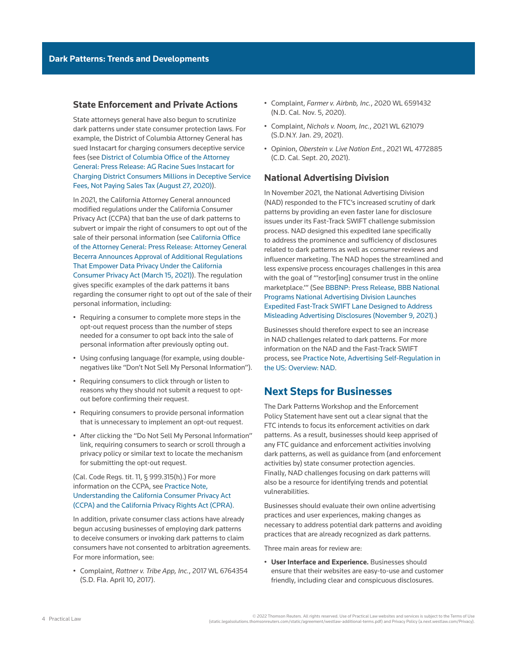#### **State Enforcement and Private Actions**

State attorneys general have also begun to scrutinize dark patterns under state consumer protection laws. For example, the District of Columbia Attorney General has sued Instacart for charging consumers deceptive service fees (see [District of Columbia Office of the Attorney](https://oag.dc.gov/release/ag-racine-sues-instacart-charging-district)  [General: Press Release: AG Racine Sues Instacart for](https://oag.dc.gov/release/ag-racine-sues-instacart-charging-district)  [Charging District Consumers Millions in Deceptive Service](https://oag.dc.gov/release/ag-racine-sues-instacart-charging-district)  [Fees, Not Paying Sales Tax \(August 27, 2020\)](https://oag.dc.gov/release/ag-racine-sues-instacart-charging-district)).

In 2021, the California Attorney General announced modified regulations under the California Consumer Privacy Act (CCPA) that ban the use of dark patterns to subvert or impair the right of consumers to opt out of the sale of their personal information (see [California Office](https://oag.ca.gov/news/press-releases/attorney-general-becerra-announces-approval-additional-regulations-empower-data)  [of the Attorney General: Press Release: Attorney General](https://oag.ca.gov/news/press-releases/attorney-general-becerra-announces-approval-additional-regulations-empower-data)  [Becerra Announces Approval of Additional Regulations](https://oag.ca.gov/news/press-releases/attorney-general-becerra-announces-approval-additional-regulations-empower-data)  [That Empower Data Privacy Under the California](https://oag.ca.gov/news/press-releases/attorney-general-becerra-announces-approval-additional-regulations-empower-data)  [Consumer Privacy Act \(March 15, 2021\)\)](https://oag.ca.gov/news/press-releases/attorney-general-becerra-announces-approval-additional-regulations-empower-data). The regulation gives specific examples of the dark patterns it bans regarding the consumer right to opt out of the sale of their personal information, including:

- Requiring a consumer to complete more steps in the opt-out request process than the number of steps needed for a consumer to opt back into the sale of personal information after previously opting out.
- Using confusing language (for example, using doublenegatives like "Don't Not Sell My Personal Information").
- Requiring consumers to click through or listen to reasons why they should not submit a request to optout before confirming their request.
- Requiring consumers to provide personal information that is unnecessary to implement an opt-out request.
- After clicking the "Do Not Sell My Personal Information" link, requiring consumers to search or scroll through a privacy policy or similar text to locate the mechanism for submitting the opt-out request.

#### ([Cal. Code Regs. tit. 11, § 999.315\(h\).](http://www.westlaw.com/Link/Document/FullText?findType=L&pubNum=1000937&cite=11CAADCS999.315&originatingDoc=I261e61ee63fe11ec9f24ec7b211d8087&refType=LQ&originationContext=document&vr=3.0&rs=cblt1.0&transitionType=PLDocumentLink&billingHash=D5EBD22B2A5F5D03C11AF203E48F9168EE382FF5962E3BA83A728858E79EEC9F&contextData=(sc.Search))) For more information on the CCPA, see [Practice Note,](http://us.practicallaw.tr.com/W-017-4166)  [Understanding the California Consumer Privacy Act](http://us.practicallaw.tr.com/W-017-4166)  [\(CCPA\) and the California Privacy Rights Act \(CPRA\).](http://us.practicallaw.tr.com/W-017-4166)

In addition, private consumer class actions have already begun accusing businesses of employing dark patterns to deceive consumers or invoking dark patterns to claim consumers have not consented to arbitration agreements. For more information, see:

• Complaint, *[Rattner v. Tribe App, Inc.](http://www.westlaw.com/Link/Document/FullText?findType=Y&serNum=2043525347&pubNum=0000999&originatingDoc=I261e61ee63fe11ec9f24ec7b211d8087&refType=RP&originationContext=document&vr=3.0&rs=cblt1.0&transitionType=PLDocumentLink&billingHash=BD02162AF9A3B6E1B3EA5413041E9AAA148801079CAD9B58701513744433A510&contextData=(sc.Search))*, 2017 WL 6764354 [\(S.D. Fla. April 10, 2017\).](http://www.westlaw.com/Link/Document/FullText?findType=Y&serNum=2043525347&pubNum=0000999&originatingDoc=I261e61ee63fe11ec9f24ec7b211d8087&refType=RP&originationContext=document&vr=3.0&rs=cblt1.0&transitionType=PLDocumentLink&billingHash=BD02162AF9A3B6E1B3EA5413041E9AAA148801079CAD9B58701513744433A510&contextData=(sc.Search))

- Complaint, *[Farmer v. Airbnb, Inc.](http://www.westlaw.com/Link/Document/FullText?findType=Y&serNum=2052338214&pubNum=0000999&originatingDoc=I261e61ee63fe11ec9f24ec7b211d8087&refType=RP&originationContext=document&vr=3.0&rs=cblt1.0&transitionType=PLDocumentLink&billingHash=9012FB46EF5B8BC70D8C9FFA504EA7C795547D72BA7E2C50F5FB37E0213579A6&contextData=(sc.Search))*, 2020 WL 6591432 [\(N.D. Cal. Nov. 5, 2020\).](http://www.westlaw.com/Link/Document/FullText?findType=Y&serNum=2052338214&pubNum=0000999&originatingDoc=I261e61ee63fe11ec9f24ec7b211d8087&refType=RP&originationContext=document&vr=3.0&rs=cblt1.0&transitionType=PLDocumentLink&billingHash=9012FB46EF5B8BC70D8C9FFA504EA7C795547D72BA7E2C50F5FB37E0213579A6&contextData=(sc.Search))
- Complaint, *[Nichols v. Noom, Inc.](http://www.westlaw.com/Link/Document/FullText?findType=Y&serNum=2052990427&pubNum=0000999&originatingDoc=I261e61ee63fe11ec9f24ec7b211d8087&refType=RP&originationContext=document&vr=3.0&rs=cblt1.0&transitionType=PLDocumentLink&billingHash=F8C199B190F85F30D61DC896FA034017B5FE7C3E1A5FF1A168CB9517C911529F&contextData=(sc.Search))*, 2021 WL 621079 [\(S.D.N.Y. Jan. 29, 2021\).](http://www.westlaw.com/Link/Document/FullText?findType=Y&serNum=2052990427&pubNum=0000999&originatingDoc=I261e61ee63fe11ec9f24ec7b211d8087&refType=RP&originationContext=document&vr=3.0&rs=cblt1.0&transitionType=PLDocumentLink&billingHash=F8C199B190F85F30D61DC896FA034017B5FE7C3E1A5FF1A168CB9517C911529F&contextData=(sc.Search))
- Opinion, *[Oberstein v. Live Nation Ent.](http://www.westlaw.com/Link/Document/FullText?findType=Y&serNum=2054696029&pubNum=0000999&originatingDoc=I261e61ee63fe11ec9f24ec7b211d8087&refType=RP&originationContext=document&vr=3.0&rs=cblt1.0&transitionType=PLDocumentLink&billingHash=8295E8284A5A9AC5FC8FB11D5FAEB9EA361AF6D09196173733571423B1401C36&contextData=(sc.Search))*, 2021 WL 4772885 [\(C.D. Cal. Sept. 20, 2021\).](http://www.westlaw.com/Link/Document/FullText?findType=Y&serNum=2054696029&pubNum=0000999&originatingDoc=I261e61ee63fe11ec9f24ec7b211d8087&refType=RP&originationContext=document&vr=3.0&rs=cblt1.0&transitionType=PLDocumentLink&billingHash=8295E8284A5A9AC5FC8FB11D5FAEB9EA361AF6D09196173733571423B1401C36&contextData=(sc.Search))

#### **National Advertising Division**

In November 2021, the [National Advertising Division](http://www.westlaw.com/Document/I3a9a343bef1211e28578f7ccc38dcbee/View/FullText.html?originationContext=document&vr=3.0&rs=cblt1.0&transitionType=DocumentItem&contextData=(sc.Search))  (NAD) responded to the FTC's increased scrutiny of dark patterns by providing an even faster lane for disclosure issues under its Fast-Track SWIFT challenge submission process. NAD designed this expedited lane specifically to address the prominence and sufficiency of disclosures related to dark patterns as well as consumer reviews and influencer marketing. The NAD hopes the streamlined and less expensive process encourages challenges in this area with the goal of "'restor[ing] consumer trust in the online marketplace.'" (See [BBBNP: Press Release, BBB National](https://bbbprograms.org/media-center/news/nad-launches-fast-track-swift-disclosures)  [Programs National Advertising Division Launches](https://bbbprograms.org/media-center/news/nad-launches-fast-track-swift-disclosures)  [Expedited Fast-Track SWIFT Lane Designed to Address](https://bbbprograms.org/media-center/news/nad-launches-fast-track-swift-disclosures)  [Misleading Advertising Disclosures \(November 9, 2021\).](https://bbbprograms.org/media-center/news/nad-launches-fast-track-swift-disclosures))

Businesses should therefore expect to see an increase in NAD challenges related to dark patterns. For more information on the NAD and the Fast-Track SWIFT process, see [Practice Note, Advertising Self-Regulation in](http://us.practicallaw.tr.com/W-031-9252)  [the US: Overview: NAD.](http://us.practicallaw.tr.com/W-031-9252)

### **Next Steps for Businesses**

The Dark Patterns Workshop and the Enforcement Policy Statement have sent out a clear signal that the FTC intends to focus its enforcement activities on dark patterns. As a result, businesses should keep apprised of any FTC guidance and enforcement activities involving dark patterns, as well as guidance from (and enforcement activities by) state consumer protection agencies. Finally, NAD challenges focusing on dark patterns will also be a resource for identifying trends and potential vulnerabilities.

Businesses should evaluate their own online advertising practices and user experiences, making changes as necessary to address potential dark patterns and avoiding practices that are already recognized as dark patterns.

Three main areas for review are:

• **User Interface and Experience.** Businesses should ensure that their websites are easy-to-use and customer friendly, including clear and conspicuous disclosures.